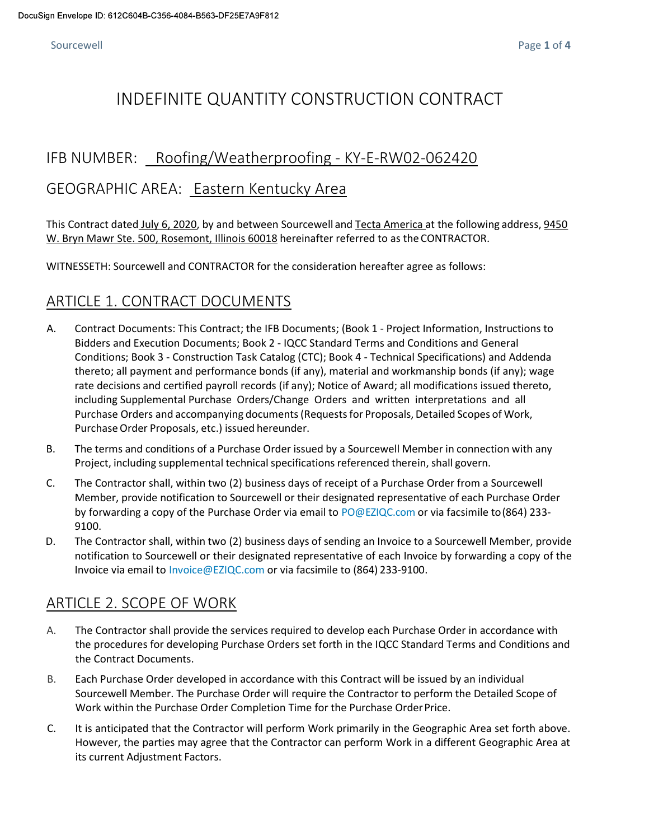# INDEFINITE QUANTITY CONSTRUCTION CONTRACT

#### IFB NUMBER: Roofing/Weatherproofing - KY-E-RW02-062420

#### GEOGRAPHIC AREA: Eastern Kentucky Area

This Contract dated July 6, 2020, by and between Sourcewell and Tecta America at the following address, 9450 W. Bryn Mawr Ste. 500, Rosemont, Illinois 60018 hereinafter referred to as the CONTRACTOR.

WITNESSETH: Sourcewell and CONTRACTOR for the consideration hereafter agree as follows:

### ARTICLE 1. CONTRACT DOCUMENTS

- A. Contract Documents: This Contract; the IFB Documents; (Book 1 Project Information, Instructions to Bidders and Execution Documents; Book 2 - IQCC Standard Terms and Conditions and General Conditions; Book 3 - Construction Task Catalog (CTC); Book 4 - Technical Specifications) and Addenda thereto; all payment and performance bonds (if any), material and workmanship bonds (if any); wage rate decisions and certified payroll records (if any); Notice of Award; all modifications issued thereto, including Supplemental Purchase Orders/Change Orders and written interpretations and all Purchase Orders and accompanying documents (Requests for Proposals, Detailed Scopes of Work, Purchase Order Proposals, etc.) issued hereunder.
- B. The terms and conditions of a Purchase Order issued by a Sourcewell Member in connection with any Project, including supplemental technical specifications referenced therein, shall govern.
- C. The Contractor shall, within two (2) business days of receipt of a Purchase Order from a Sourcewell Member, provide notification to Sourcewell or their designated representative of each Purchase Order by forwarding a copy of the Purchase Order via email to PO@EZIQC.com or via facsimile to (864) 233- 9100.
- D. The Contractor shall, within two (2) business days of sending an Invoice to a Sourcewell Member, provide notification to Sourcewell or their designated representative of each Invoice by forwarding a copy of the Invoice via email to Invoice@EZIQC.com or via facsimile to (864) 233-9100.

#### ARTICLE 2. SCOPE OF WORK

- A. The Contractor shall provide the services required to develop each Purchase Order in accordance with the procedures for developing Purchase Orders set forth in the IQCC Standard Terms and Conditions and the Contract Documents.
- B. Each Purchase Order developed in accordance with this Contract will be issued by an individual Sourcewell Member. The Purchase Order will require the Contractor to perform the Detailed Scope of Work within the Purchase Order Completion Time for the Purchase Order Price.
- C. It is anticipated that the Contractor will perform Work primarily in the Geographic Area set forth above. However, the parties may agree that the Contractor can perform Work in a different Geographic Area at its current Adjustment Factors.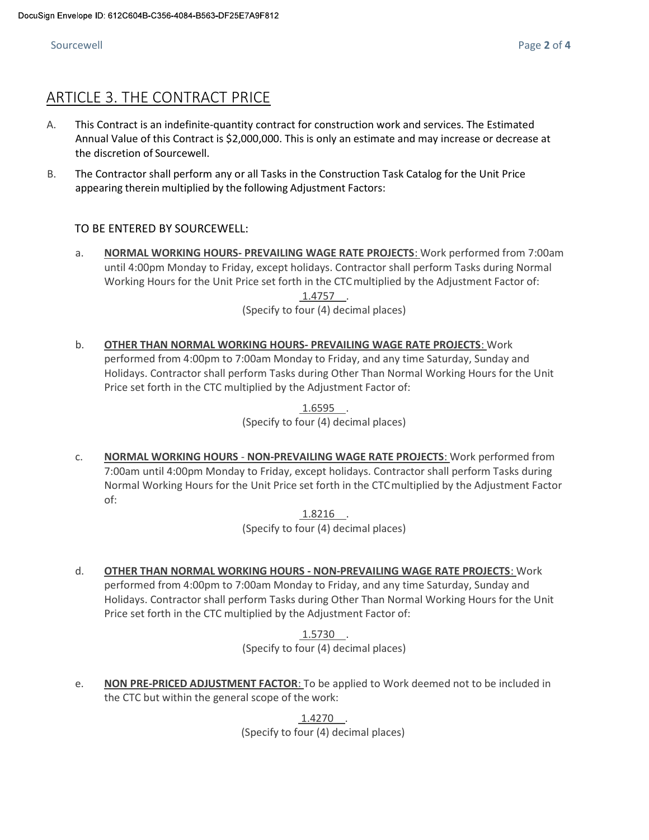#### Sourcewell **Exercise 2 of 4** Sourcewell **Page 2 of 4**

### ARTICLE 3. THE CONTRACT PRICE

- A. This Contract is an indefinite-quantity contract for construction work and services. The Estimated Annual Value of this Contract is \$2,000,000. This is only an estimate and may increase or decrease at the discretion of Sourcewell.
- B. The Contractor shall perform any or all Tasks in the Construction Task Catalog for the Unit Price appearing therein multiplied by the following Adjustment Factors:

#### TO BE ENTERED BY SOURCEWELL:

a. NORMAL WORKING HOURS- PREVAILING WAGE RATE PROJECTS: Work performed from 7:00am until 4:00pm Monday to Friday, except holidays. Contractor shall perform Tasks during Normal Working Hours for the Unit Price set forth in the CTC multiplied by the Adjustment Factor of:  $1.4757$ 

(Specify to four (4) decimal places)

b. OTHER THAN NORMAL WORKING HOURS- PREVAILING WAGE RATE PROJECTS: Work performed from 4:00pm to 7:00am Monday to Friday, and any time Saturday, Sunday and Holidays. Contractor shall perform Tasks during Other Than Normal Working Hours for the Unit Price set forth in the CTC multiplied by the Adjustment Factor of:

> $1.6595$ . (Specify to four (4) decimal places)

c. NORMAL WORKING HOURS - NON-PREVAILING WAGE RATE PROJECTS: Work performed from 7:00am until 4:00pm Monday to Friday, except holidays. Contractor shall perform Tasks during Normal Working Hours for the Unit Price set forth in the CTC multiplied by the Adjustment Factor of:

> 1.8216. (Specify to four (4) decimal places)

d. OTHER THAN NORMAL WORKING HOURS - NON-PREVAILING WAGE RATE PROJECTS: Work performed from 4:00pm to 7:00am Monday to Friday, and any time Saturday, Sunday and Holidays. Contractor shall perform Tasks during Other Than Normal Working Hours for the Unit Price set forth in the CTC multiplied by the Adjustment Factor of:

> $1.5730$ . (Specify to four (4) decimal places)

e. NON PRE-PRICED ADJUSTMENT FACTOR: To be applied to Work deemed not to be included in the CTC but within the general scope of the work:

> 1.4270 . (Specify to four (4) decimal places)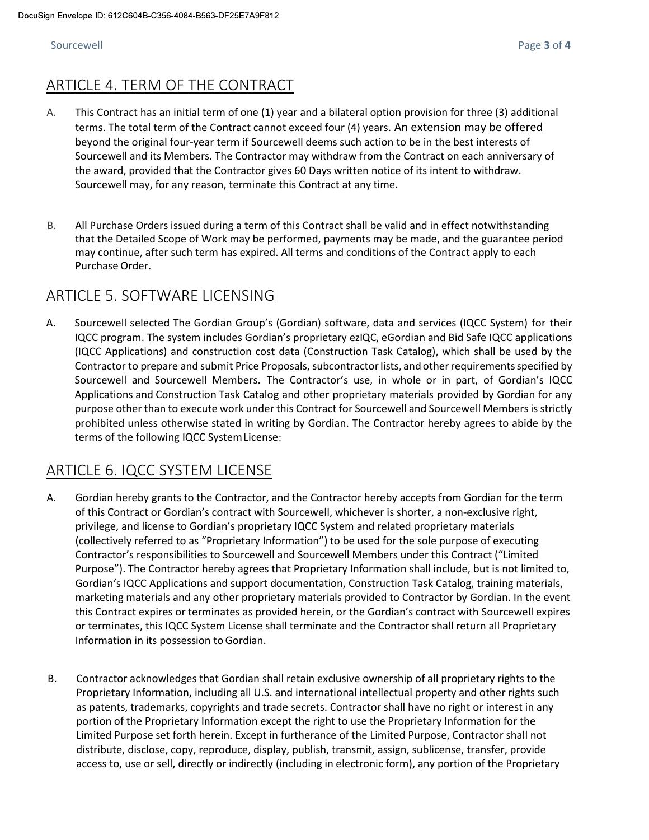## ARTICLE 4. TERM OF THE CONTRACT

- A. This Contract has an initial term of one (1) year and a bilateral option provision for three (3) additional terms. The total term of the Contract cannot exceed four (4) years. An extension may be offered beyond the original four-year term if Sourcewell deems such action to be in the best interests of Sourcewell and its Members. The Contractor may withdraw from the Contract on each anniversary of the award, provided that the Contractor gives 60 Days written notice of its intent to withdraw. Sourcewell may, for any reason, terminate this Contract at any time.
- B. All Purchase Orders issued during a term of this Contract shall be valid and in effect notwithstanding that the Detailed Scope of Work may be performed, payments may be made, and the guarantee period may continue, after such term has expired. All terms and conditions of the Contract apply to each Purchase Order.

#### ARTICLE 5. SOFTWARE LICENSING

A. Sourcewell selected The Gordian Group's (Gordian) software, data and services (IQCC System) for their IQCC program. The system includes Gordian's proprietary ezIQC, eGordian and Bid Safe IQCC applications (IQCC Applications) and construction cost data (Construction Task Catalog), which shall be used by the Contractor to prepare and submit Price Proposals, subcontractor lists, and other requirements specified by Sourcewell and Sourcewell Members. The Contractor's use, in whole or in part, of Gordian's IQCC Applications and Construction Task Catalog and other proprietary materials provided by Gordian for any purpose other than to execute work under this Contract for Sourcewell and Sourcewell Members is strictly prohibited unless otherwise stated in writing by Gordian. The Contractor hereby agrees to abide by the terms of the following IQCC System License:

## ARTICLE 6. IQCC SYSTEM LICENSE

- A. Gordian hereby grants to the Contractor, and the Contractor hereby accepts from Gordian for the term of this Contract or Gordian's contract with Sourcewell, whichever is shorter, a non-exclusive right, privilege, and license to Gordian's proprietary IQCC System and related proprietary materials (collectively referred to as "Proprietary Information") to be used for the sole purpose of executing Contractor's responsibilities to Sourcewell and Sourcewell Members under this Contract ("Limited Purpose"). The Contractor hereby agrees that Proprietary Information shall include, but is not limited to, Gordian's IQCC Applications and support documentation, Construction Task Catalog, training materials, marketing materials and any other proprietary materials provided to Contractor by Gordian. In the event this Contract expires or terminates as provided herein, or the Gordian's contract with Sourcewell expires or terminates, this IQCC System License shall terminate and the Contractor shall return all Proprietary Information in its possession to Gordian.
- B. Contractor acknowledges that Gordian shall retain exclusive ownership of all proprietary rights to the Proprietary Information, including all U.S. and international intellectual property and other rights such as patents, trademarks, copyrights and trade secrets. Contractor shall have no right or interest in any portion of the Proprietary Information except the right to use the Proprietary Information for the Limited Purpose set forth herein. Except in furtherance of the Limited Purpose, Contractor shall not distribute, disclose, copy, reproduce, display, publish, transmit, assign, sublicense, transfer, provide access to, use or sell, directly or indirectly (including in electronic form), any portion of the Proprietary